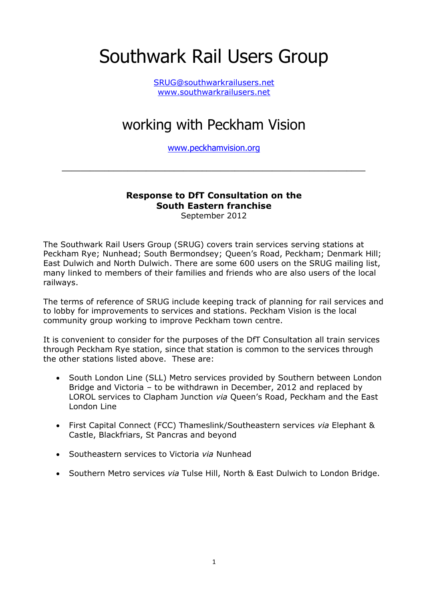# Southwark Rail Users Group

[SRUG@southwarkrailusers.net](mailto:SRUG@southwarkrailusers.net) [www.southwarkrailusers.net](http://www.southwarkrailusers.net/)

# working with Peckham Vision

[www.peckhamvision.org](http://www.peckhamvision.org/)

\_\_\_\_\_\_\_\_\_\_\_\_\_\_\_\_\_\_\_\_\_\_\_\_\_\_\_\_\_\_\_\_\_\_\_\_\_\_\_\_\_\_\_\_\_\_\_\_\_\_\_\_\_\_\_\_\_\_\_\_\_\_\_\_\_

## **Response to DfT Consultation on the South Eastern franchise**

September 2012

The Southwark Rail Users Group (SRUG) covers train services serving stations at Peckham Rye; Nunhead; South Bermondsey; Queen's Road, Peckham; Denmark Hill; East Dulwich and North Dulwich. There are some 600 users on the SRUG mailing list, many linked to members of their families and friends who are also users of the local railways.

The terms of reference of SRUG include keeping track of planning for rail services and to lobby for improvements to services and stations. Peckham Vision is the local community group working to improve Peckham town centre.

It is convenient to consider for the purposes of the DfT Consultation all train services through Peckham Rye station, since that station is common to the services through the other stations listed above. These are:

- South London Line (SLL) Metro services provided by Southern between London Bridge and Victoria – to be withdrawn in December, 2012 and replaced by LOROL services to Clapham Junction *via* Queen's Road, Peckham and the East London Line
- First Capital Connect (FCC) Thameslink/Southeastern services *via* Elephant & Castle, Blackfriars, St Pancras and beyond
- Southeastern services to Victoria *via* Nunhead
- Southern Metro services *via* Tulse Hill, North & East Dulwich to London Bridge.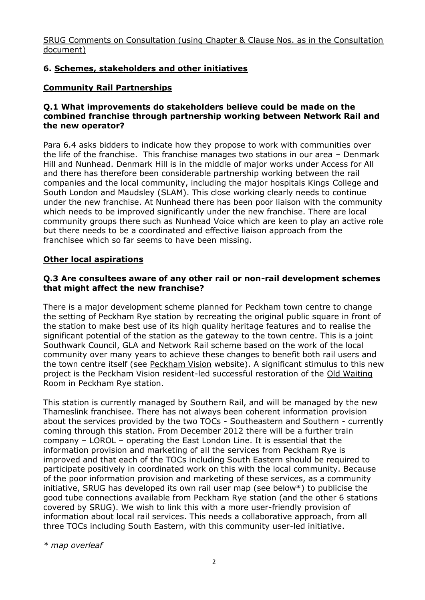SRUG Comments on Consultation (using Chapter & Clause Nos. as in the Consultation document)

#### **6. Schemes, stakeholders and other initiatives**

#### **Community Rail Partnerships**

#### **Q.1 What improvements do stakeholders believe could be made on the combined franchise through partnership working between Network Rail and the new operator?**

Para 6.4 asks bidders to indicate how they propose to work with communities over the life of the franchise. This franchise manages two stations in our area – Denmark Hill and Nunhead. Denmark Hill is in the middle of major works under Access for All and there has therefore been considerable partnership working between the rail companies and the local community, including the major hospitals Kings College and South London and Maudsley (SLAM). This close working clearly needs to continue under the new franchise. At Nunhead there has been poor liaison with the community which needs to be improved significantly under the new franchise. There are local community groups there such as Nunhead Voice which are keen to play an active role but there needs to be a coordinated and effective liaison approach from the franchisee which so far seems to have been missing.

#### **Other local aspirations**

#### **Q.3 Are consultees aware of any other rail or non-rail development schemes that might affect the new franchise?**

There is a major development scheme planned for Peckham town centre to change the setting of Peckham Rye station by recreating the original public square in front of the station to make best use of its high quality heritage features and to realise the significant potential of the station as the gateway to the town centre. This is a joint Southwark Council, GLA and Network Rail scheme based on the work of the local community over many years to achieve these changes to benefit both rail users and the town centre itself (see [Peckham Vision](http://www.peckhamvision.org/) website). A significant stimulus to this new project is the Peckham Vision resident-led successful restoration of the [Old Waiting](http://www.peckhamvision.org/wiki/Old_Waiting_Room)  [Room](http://www.peckhamvision.org/wiki/Old_Waiting_Room) in Peckham Rye station.

This station is currently managed by Southern Rail, and will be managed by the new Thameslink franchisee. There has not always been coherent information provision about the services provided by the two TOCs - Southeastern and Southern - currently coming through this station. From December 2012 there will be a further train company – LOROL – operating the East London Line. It is essential that the information provision and marketing of all the services from Peckham Rye is improved and that each of the TOCs including South Eastern should be required to participate positively in coordinated work on this with the local community. Because of the poor information provision and marketing of these services, as a community initiative, SRUG has developed its own rail user map (see below\*) to publicise the good tube connections available from Peckham Rye station (and the other 6 stations covered by SRUG). We wish to link this with a more user-friendly provision of information about local rail services. This needs a collaborative approach, from all three TOCs including South Eastern, with this community user-led initiative.

*\* map overleaf*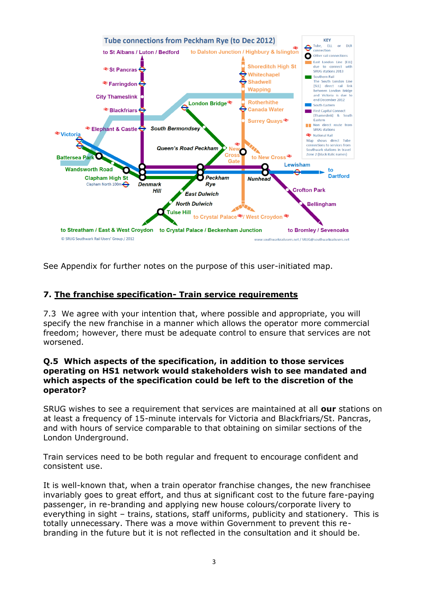

See Appendix for further notes on the purpose of this user-initiated map.

#### **7. The franchise specification- Train service requirements**

7.3 We agree with your intention that, where possible and appropriate, you will specify the new franchise in a manner which allows the operator more commercial freedom; however, there must be adequate control to ensure that services are not worsened.

#### **Q.5 Which aspects of the specification, in addition to those services operating on HS1 network would stakeholders wish to see mandated and which aspects of the specification could be left to the discretion of the operator?**

SRUG wishes to see a requirement that services are maintained at all **our** stations on at least a frequency of 15-minute intervals for Victoria and Blackfriars/St. Pancras, and with hours of service comparable to that obtaining on similar sections of the London Underground.

Train services need to be both regular and frequent to encourage confident and consistent use.

It is well-known that, when a train operator franchise changes, the new franchisee invariably goes to great effort, and thus at significant cost to the future fare-paying passenger, in re-branding and applying new house colours/corporate livery to everything in sight – trains, stations, staff uniforms, publicity and stationery. This is totally unnecessary. There was a move within Government to prevent this rebranding in the future but it is not reflected in the consultation and it should be.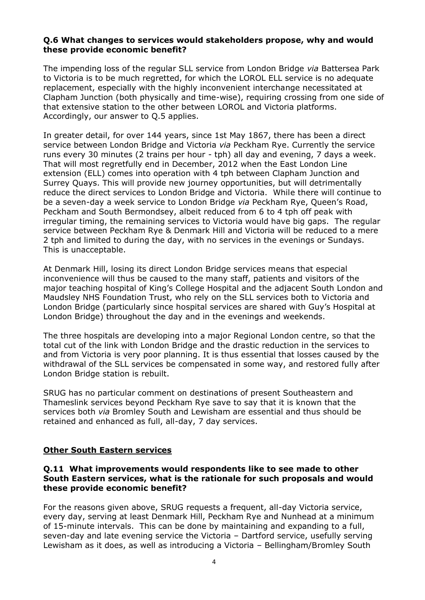#### **Q.6 What changes to services would stakeholders propose, why and would these provide economic benefit?**

The impending loss of the regular SLL service from London Bridge *via* Battersea Park to Victoria is to be much regretted, for which the LOROL ELL service is no adequate replacement, especially with the highly inconvenient interchange necessitated at Clapham Junction (both physically and time-wise), requiring crossing from one side of that extensive station to the other between LOROL and Victoria platforms. Accordingly, our answer to Q.5 applies.

In greater detail, for over 144 years, since 1st May 1867, there has been a direct service between London Bridge and Victoria *via* Peckham Rye. Currently the service runs every 30 minutes (2 trains per hour - tph) all day and evening, 7 days a week. That will most regretfully end in December, 2012 when the East London Line extension (ELL) comes into operation with 4 tph between Clapham Junction and Surrey Quays. This will provide new journey opportunities, but will detrimentally reduce the direct services to London Bridge and Victoria. While there will continue to be a seven-day a week service to London Bridge *via* Peckham Rye, Queen's Road, Peckham and South Bermondsey, albeit reduced from 6 to 4 tph off peak with irregular timing, the remaining services to Victoria would have big gaps. The regular service between Peckham Rye & Denmark Hill and Victoria will be reduced to a mere 2 tph and limited to during the day, with no services in the evenings or Sundays. This is unacceptable.

At Denmark Hill, losing its direct London Bridge services means that especial inconvenience will thus be caused to the many staff, patients and visitors of the major teaching hospital of King's College Hospital and the adjacent South London and Maudsley NHS Foundation Trust, who rely on the SLL services both to Victoria and London Bridge (particularly since hospital services are shared with Guy's Hospital at London Bridge) throughout the day and in the evenings and weekends.

The three hospitals are developing into a major Regional London centre, so that the total cut of the link with London Bridge and the drastic reduction in the services to and from Victoria is very poor planning. It is thus essential that losses caused by the withdrawal of the SLL services be compensated in some way, and restored fully after London Bridge station is rebuilt.

SRUG has no particular comment on destinations of present Southeastern and Thameslink services beyond Peckham Rye save to say that it is known that the services both *via* Bromley South and Lewisham are essential and thus should be retained and enhanced as full, all-day, 7 day services.

#### **Other South Eastern services**

#### **Q.11 What improvements would respondents like to see made to other South Eastern services, what is the rationale for such proposals and would these provide economic benefit?**

For the reasons given above, SRUG requests a frequent, all-day Victoria service, every day, serving at least Denmark Hill, Peckham Rye and Nunhead at a minimum of 15-minute intervals. This can be done by maintaining and expanding to a full, seven-day and late evening service the Victoria – Dartford service, usefully serving Lewisham as it does, as well as introducing a Victoria – Bellingham/Bromley South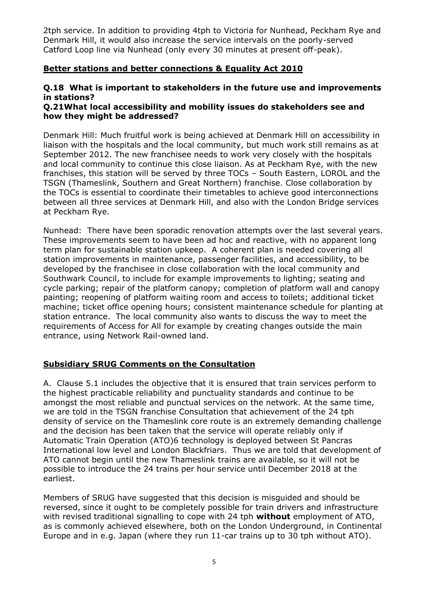2tph service. In addition to providing 4tph to Victoria for Nunhead, Peckham Rye and Denmark Hill, it would also increase the service intervals on the poorly-served Catford Loop line via Nunhead (only every 30 minutes at present off-peak).

#### **Better stations and better connections & Equality Act 2010**

#### **Q.18 What is important to stakeholders in the future use and improvements in stations?**

#### **Q.21What local accessibility and mobility issues do stakeholders see and how they might be addressed?**

Denmark Hill: Much fruitful work is being achieved at Denmark Hill on accessibility in liaison with the hospitals and the local community, but much work still remains as at September 2012. The new franchisee needs to work very closely with the hospitals and local community to continue this close liaison. As at Peckham Rye, with the new franchises, this station will be served by three TOCs – South Eastern, LOROL and the TSGN (Thameslink, Southern and Great Northern) franchise. Close collaboration by the TOCs is essential to coordinate their timetables to achieve good interconnections between all three services at Denmark Hill, and also with the London Bridge services at Peckham Rye.

Nunhead: There have been sporadic renovation attempts over the last several years. These improvements seem to have been ad hoc and reactive, with no apparent long term plan for sustainable station upkeep. A coherent plan is needed covering all station improvements in maintenance, passenger facilities, and accessibility, to be developed by the franchisee in close collaboration with the local community and Southwark Council, to include for example improvements to lighting; seating and cycle parking; repair of the platform canopy; completion of platform wall and canopy painting; reopening of platform waiting room and access to toilets; additional ticket machine; ticket office opening hours; consistent maintenance schedule for planting at station entrance. The local community also wants to discuss the way to meet the requirements of Access for All for example by creating changes outside the main entrance, using Network Rail-owned land.

#### **Subsidiary SRUG Comments on the Consultation**

A. Clause 5.1 includes the objective that it is ensured that train services perform to the highest practicable reliability and punctuality standards and continue to be amongst the most reliable and punctual services on the network. At the same time, we are told in the TSGN franchise Consultation that achievement of the 24 tph density of service on the Thameslink core route is an extremely demanding challenge and the decision has been taken that the service will operate reliably only if Automatic Train Operation (ATO)6 technology is deployed between St Pancras International low level and London Blackfriars. Thus we are told that development of ATO cannot begin until the new Thameslink trains are available, so it will not be possible to introduce the 24 trains per hour service until December 2018 at the earliest.

Members of SRUG have suggested that this decision is misguided and should be reversed, since it ought to be completely possible for train drivers and infrastructure with revised traditional signalling to cope with 24 tph **without** employment of ATO, as is commonly achieved elsewhere, both on the London Underground, in Continental Europe and in e.g. Japan (where they run 11-car trains up to 30 tph without ATO).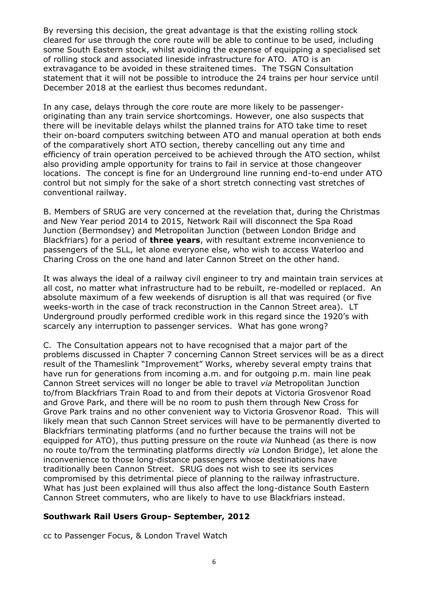By reversing this decision, the great advantage is that the existing rolling stock cleared for use through the core route will be able to continue to be used, including some South Eastern stock, whilst avoiding the expense of equipping a specialised set of rolling stock and associated lineside infrastructure for ATO. ATO is an extravagance to be avoided in these straitened times. The TSGN Consultation statement that it will not be possible to introduce the 24 trains per hour service until December 2018 at the earliest thus becomes redundant.

In any case, delays through the core route are more likely to be passengeroriginating than any train service shortcomings. However, one also suspects that there will be inevitable delays whilst the planned trains for ATO take time to reset their on-board computers switching between ATO and manual operation at both ends of the comparatively short ATO section, thereby cancelling out any time and efficiency of train operation perceived to be achieved through the ATO section, whilst also providing ample opportunity for trains to fail in service at those changeover locations. The concept is fine for an Underground line running end-to-end under ATO control but not simply for the sake of a short stretch connecting vast stretches of conventional railway.

B. Members of SRUG are very concerned at the revelation that, during the Christmas and New Year period 2014 to 2015, Network Rail will disconnect the Spa Road Junction (Bermondsey) and Metropolitan Junction (between London Bridge and Blackfriars) for a period of **three years**, with resultant extreme inconvenience to passengers of the SLL, let alone everyone else, who wish to access Waterloo and Charing Cross on the one hand and later Cannon Street on the other hand.

It was always the ideal of a railway civil engineer to try and maintain train services at all cost, no matter what infrastructure had to be rebuilt, re-modelled or replaced. An absolute maximum of a few weekends of disruption is all that was required (or five weeks-worth in the case of track reconstruction in the Cannon Street area). LT Underground proudly performed credible work in this regard since the 1920's with scarcely any interruption to passenger services. What has gone wrong?

C. The Consultation appears not to have recognised that a major part of the problems discussed in Chapter 7 concerning Cannon Street services will be as a direct result of the Thameslink "Improvement" Works, whereby several empty trains that have run for generations from incoming a.m. and for outgoing p.m. main line peak Cannon Street services will no longer be able to travel *via* Metropolitan Junction to/from Blackfriars Train Road to and from their depots at Victoria Grosvenor Road and Grove Park, and there will be no room to push them through New Cross for Grove Park trains and no other convenient way to Victoria Grosvenor Road. This will likely mean that such Cannon Street services will have to be permanently diverted to Blackfriars terminating platforms (and no further because the trains will not be equipped for ATO), thus putting pressure on the route *via* Nunhead (as there is now no route to/from the terminating platforms directly *via* London Bridge), let alone the inconvenience to those long-distance passengers whose destinations have traditionally been Cannon Street. SRUG does not wish to see its services compromised by this detrimental piece of planning to the railway infrastructure. What has just been explained will thus also affect the long-distance South Eastern Cannon Street commuters, who are likely to have to use Blackfriars instead.

#### **Southwark Rail Users Group- September, 2012**

cc to Passenger Focus, & London Travel Watch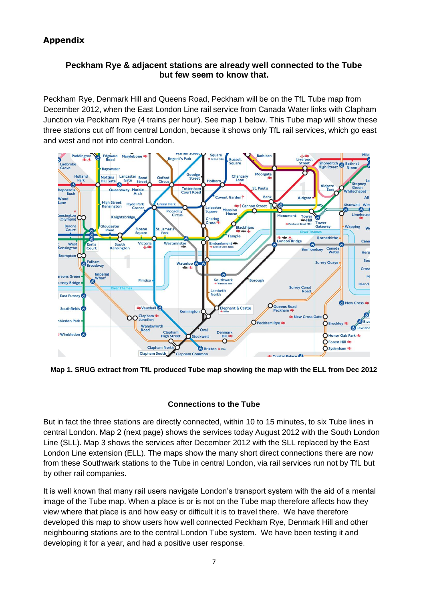### **Appendix**

#### **Peckham Rye & adjacent stations are already well connected to the Tube but few seem to know that.**

Peckham Rye, Denmark Hill and Queens Road, Peckham will be on the TfL Tube map from December 2012, when the East London Line rail service from Canada Water links with Clapham Junction via Peckham Rye (4 trains per hour). See map 1 below. This Tube map will show these three stations cut off from central London, because it shows only TfL rail services, which go east and west and not into central London.



**Map 1. SRUG extract from TfL produced Tube map showing the map with the ELL from Dec 2012**

#### **Connections to the Tube**

But in fact the three stations are directly connected, within 10 to 15 minutes, to six Tube lines in central London. Map 2 (next page) shows the services today August 2012 with the South London Line (SLL). Map 3 shows the services after December 2012 with the SLL replaced by the East London Line extension (ELL). The maps show the many short direct connections there are now from these Southwark stations to the Tube in central London, via rail services run not by TfL but by other rail companies.

It is well known that many rail users navigate London's transport system with the aid of a mental image of the Tube map. When a place is or is not on the Tube map therefore affects how they view where that place is and how easy or difficult it is to travel there. We have therefore developed this map to show users how well connected Peckham Rye, Denmark Hill and other neighbouring stations are to the central London Tube system. We have been testing it and developing it for a year, and had a positive user response.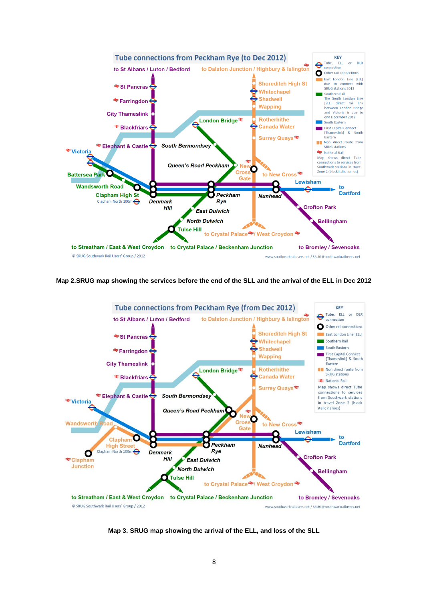

**Map 2.SRUG map showing the services before the end of the SLL and the arrival of the ELL in Dec 2012**



**Map 3. SRUG map showing the arrival of the ELL, and loss of the SLL**